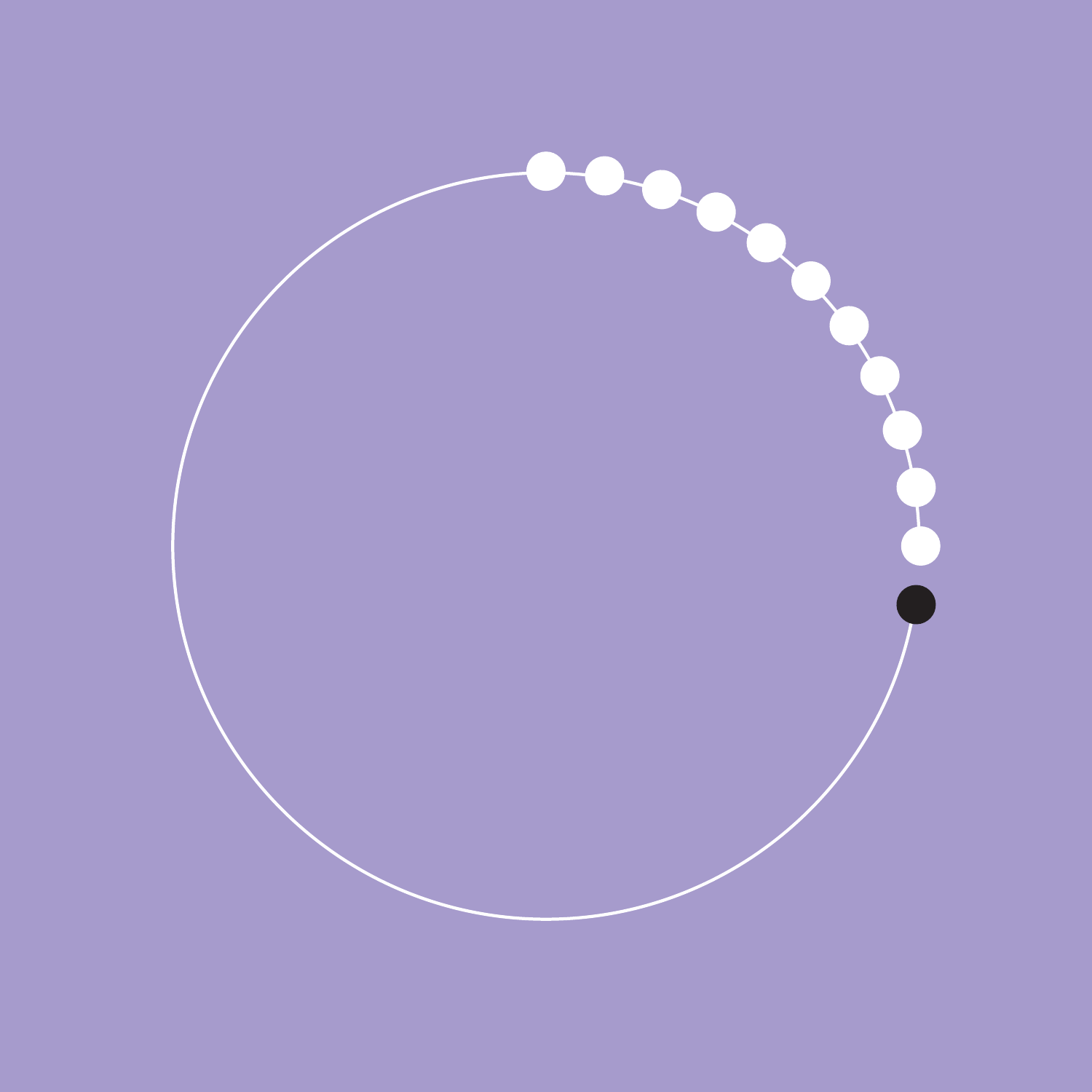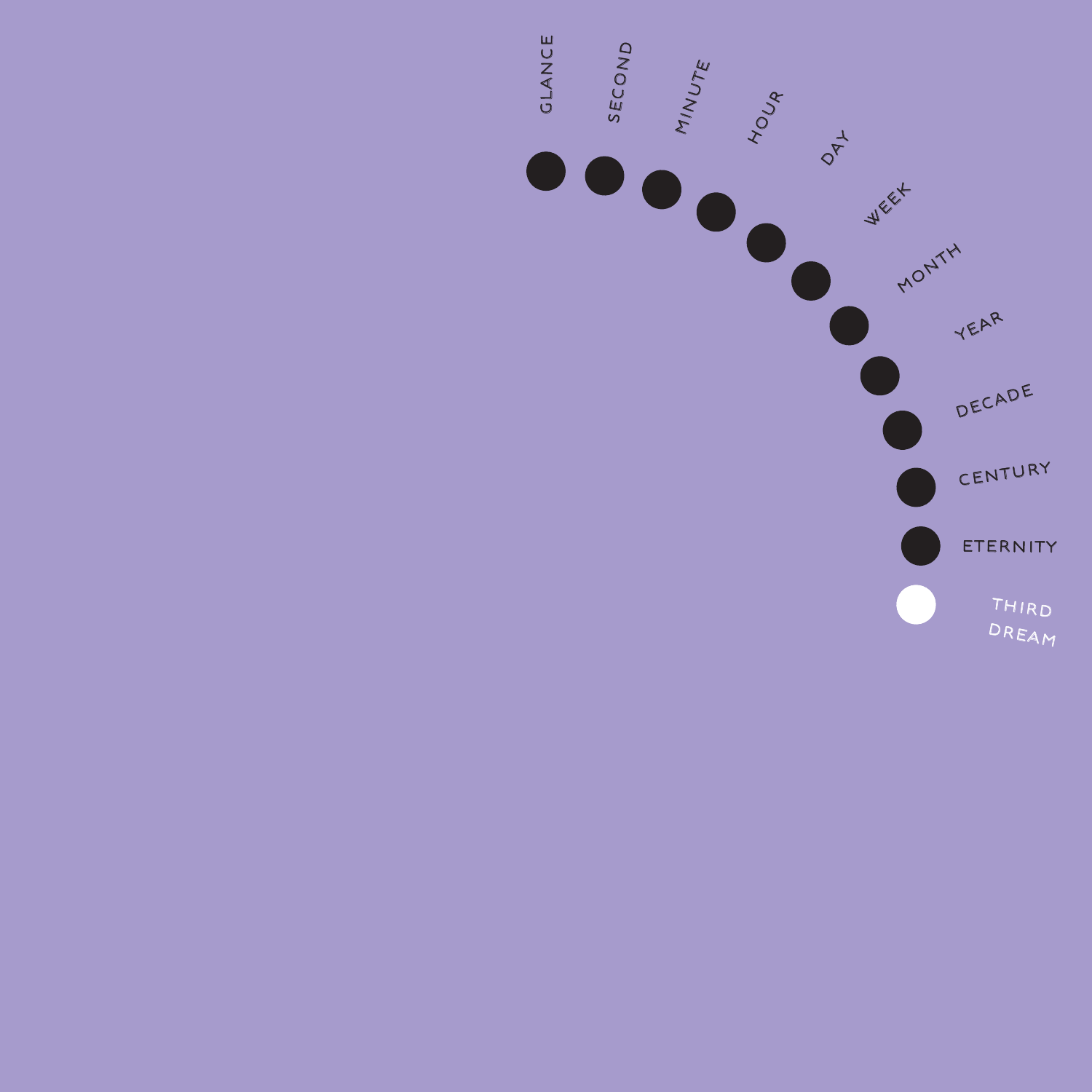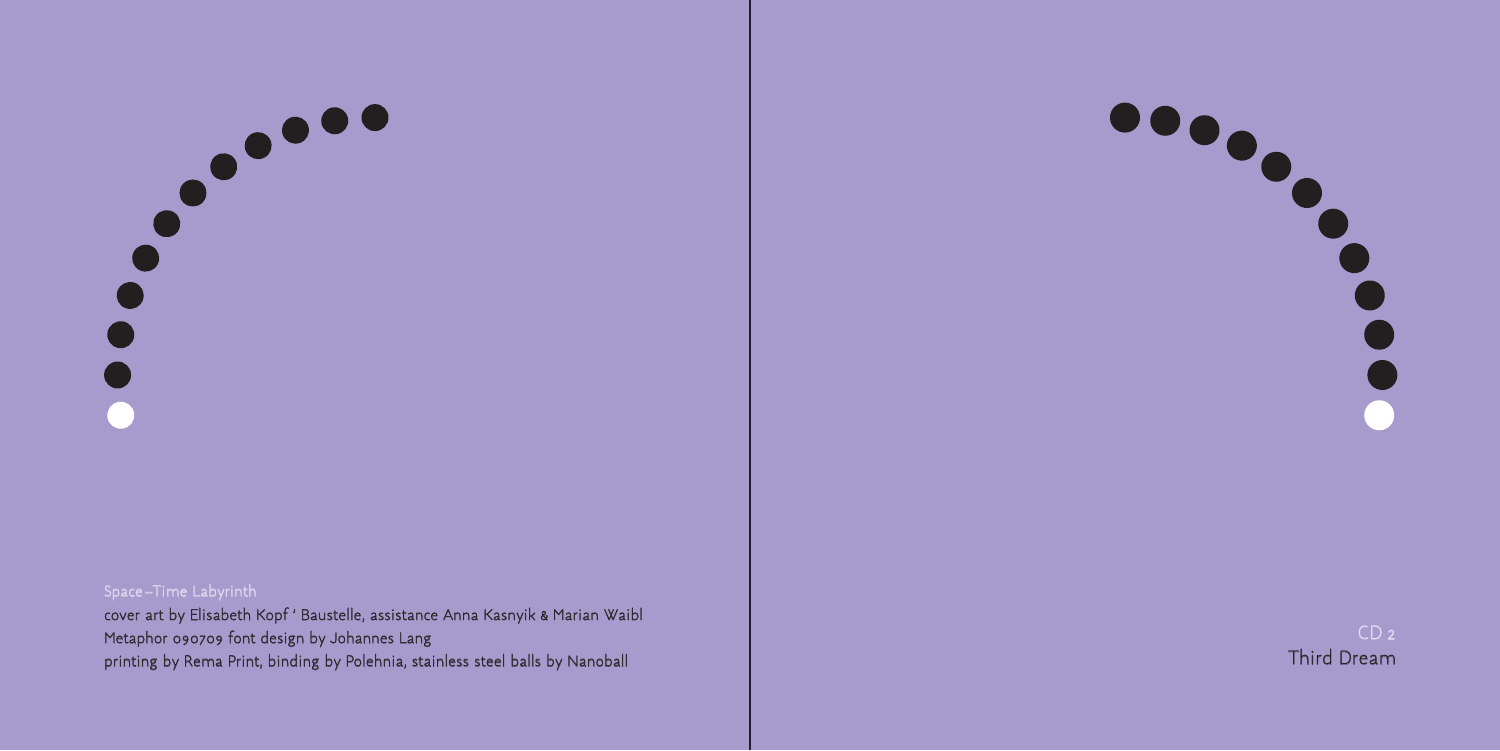$\cdot$  .  $\cdot$  .  $\cdot$ 

# 

### Space –Time Labyrinth

cover art by Elisabeth Kopf ' Baustelle, assistance Anna Kasnyik & Marian Waibl Metaphor 090709 font design by Johannes Lang printing by Rema Print, binding by Polehnia, stainless steel balls by Nanoball

CD 2 Third Dream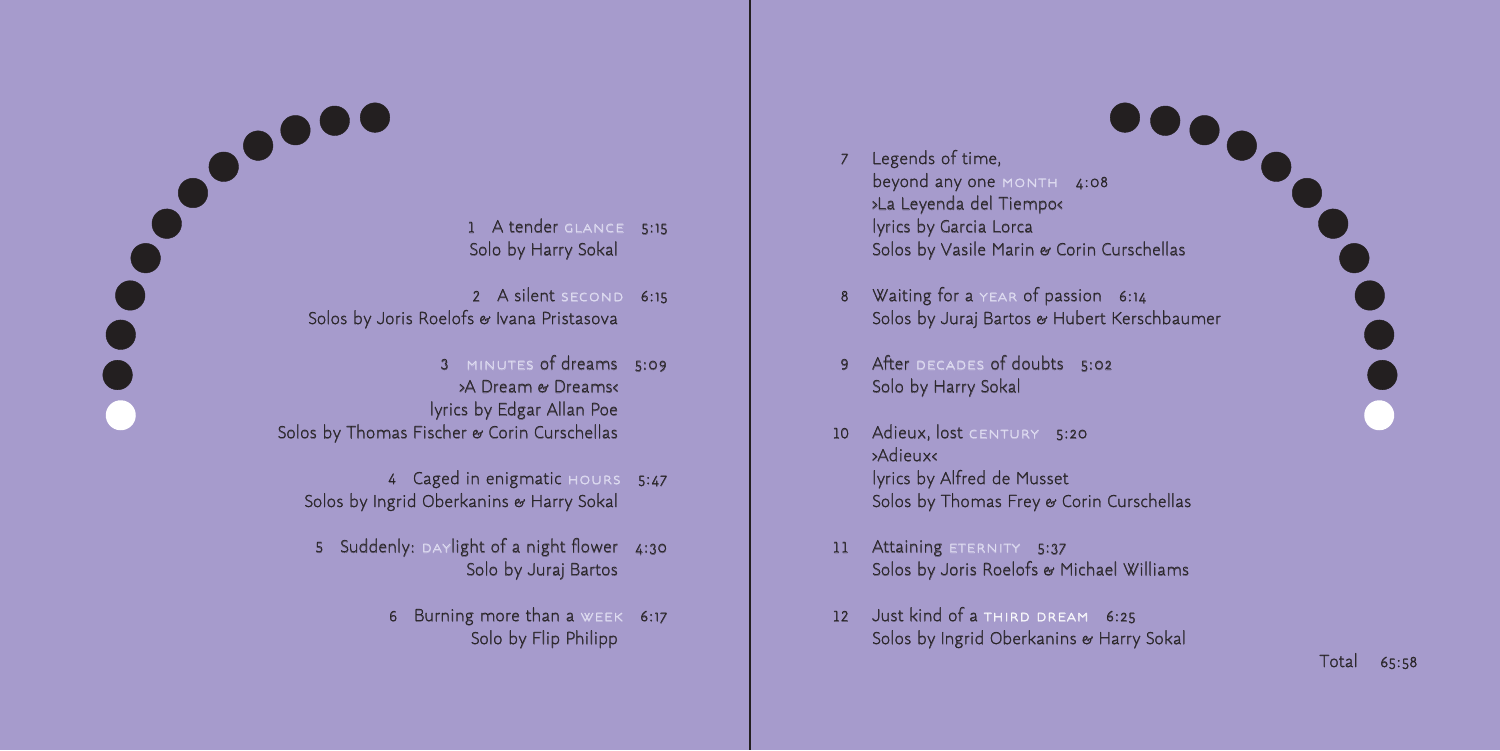......

1 A tender GLANCE 5:15 Solo by Harry Sokal

2 A silent second 6:15 Solos by Joris Roelofs & Ivana Pristasova

3 MINUTEs of dreams 5:09 ›A Dream � Dreams‹ lyrics by Edgar Allan Poe Solos by Thomas Fischer & Corin Curschellas

4 Caged in enigmatic HOURs 5:47 Solos by Ingrid Oberkanins & Harry Sokal

5 Suddenly: DAYlight of a night flower 4:30 Solo by Juraj Bartos

> 6 Burning more than a WEEK 6:17 Solo by Flip Philipp

- Legends of time, beyond any one MONTH 4:08 ›La Leyenda del Tiempo‹ lyrics by Garcia Lorca Solos by Vasile Marin & Corin Curschellas
- 8 Waiting for a YEAR of passion 6:14 Solos by Juraj Bartos & Hubert Kerschbaumer
- 9 After DECADEs of doubts 5:02 Solo by Harry Sokal
- 10 Adieux, lost CENTURY 5:20 ›Adieux‹ lyrics by Alfred de Musset Solos by Thomas Frey & Corin Curschellas
- 11 Attaining ETERNITY 5:37 Solos by Joris Roelofs � Michael Williams
- 12 Just kind of a THIRD DREAM 6:25 Solos by Ingrid Oberkanins & Harry Sokal

Total 65:58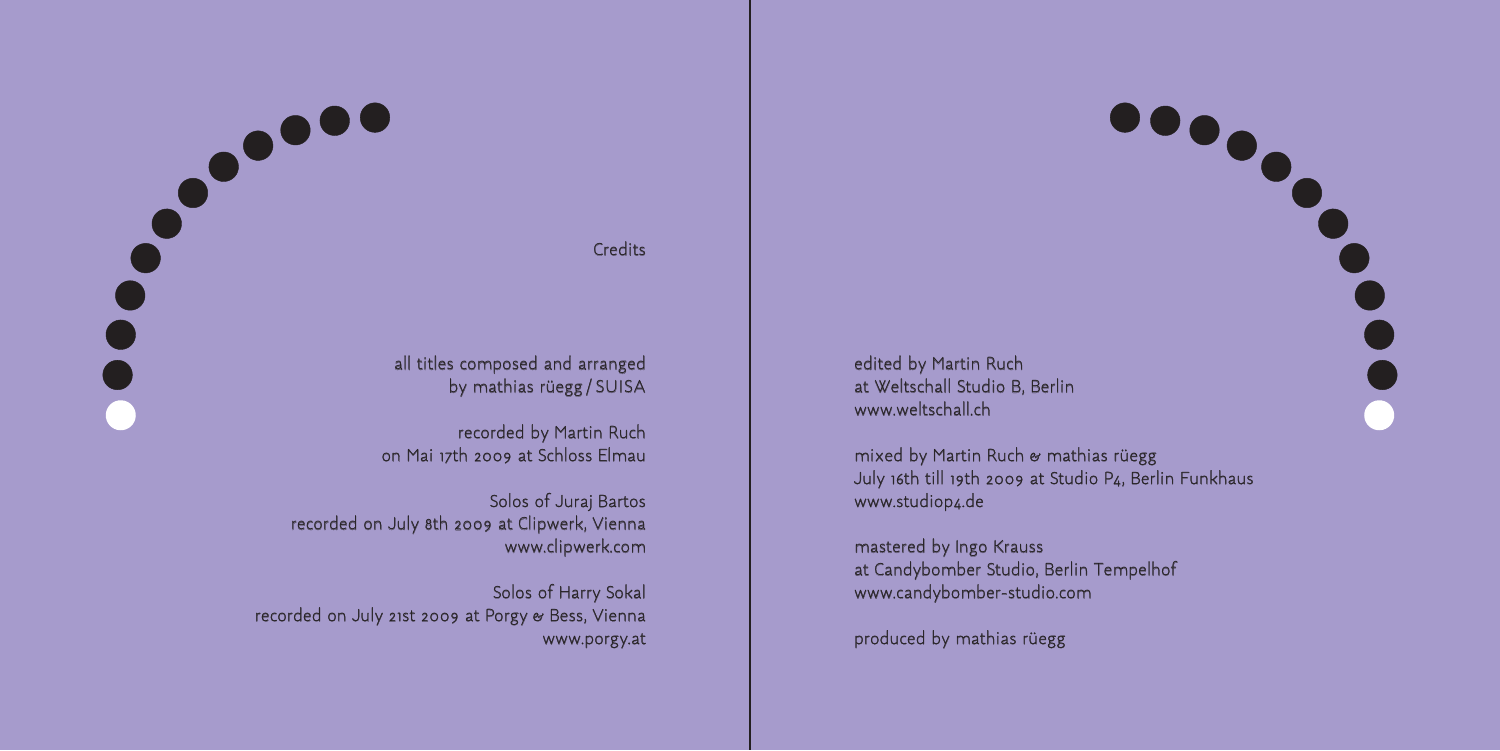**Credits** 

all titles composed and arranged by mathias rüegg / SUISA

recorded by Martin Ruch on Mai 17th 2009 at Schloss Elmau

Solos of Juraj Bartos recorded on July 8th 2009 at Clipwerk, Vienna www.clipwerk.com

Solos of Harry Sokal recorded on July 21st 2009 at Porgy � Bess, Vienna www.porgy.at

 $\cdot$  .  $\cdot$ 

edited by Martin Ruch at Weltschall Studio B, Berlin www.weltschall.ch

mixed by Martin Ruch � mathias rüegg July 16th till 19th 2009 at Studio P4, Berlin Funkhaus www.studiop4.de

mastered by Ingo Krauss at Candybomber Studio, Berlin Tempelhof www.candybomber-studio.com

produced by mathias rüegg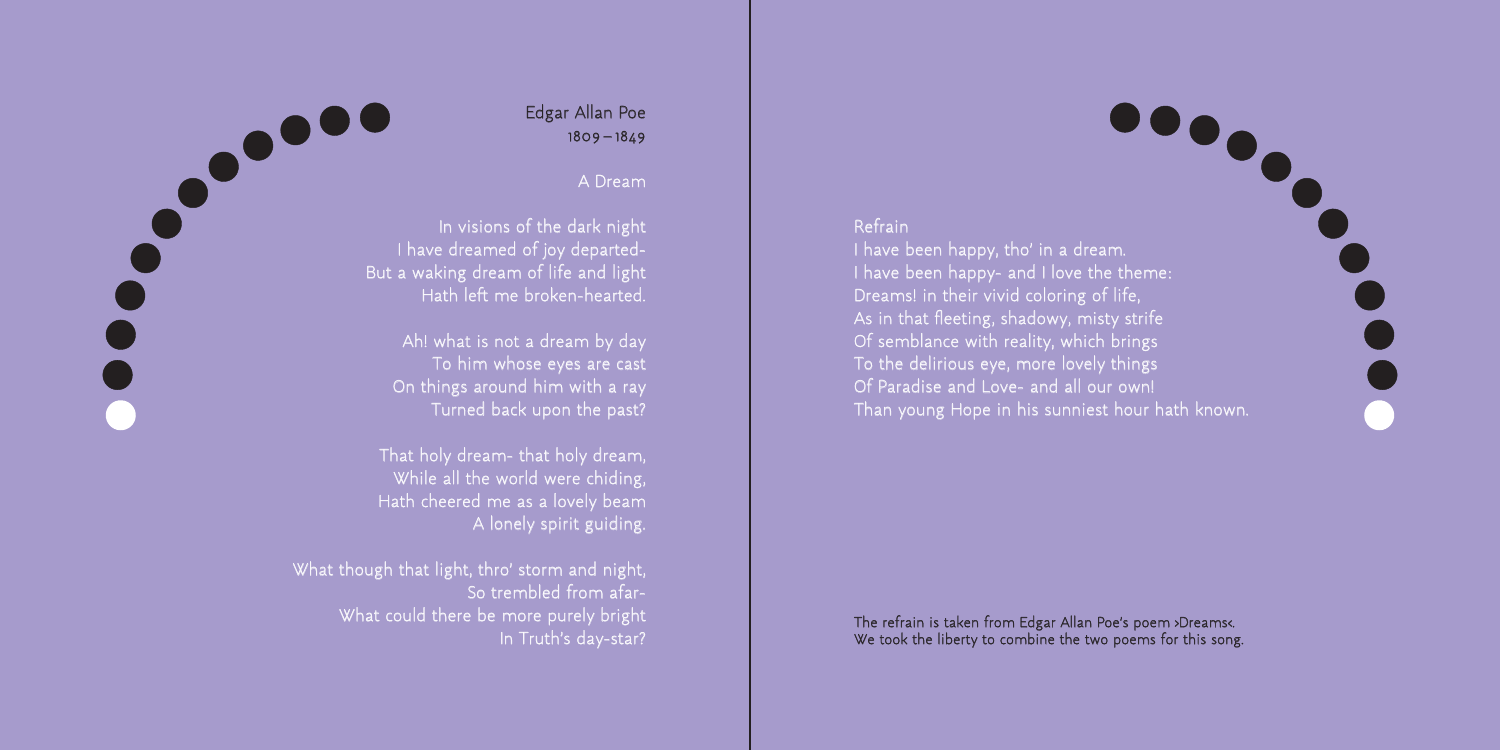# Edgar Allan Poe 1809 – 1849

## A Dream

In visions of the dark night I have dreamed of joy departed-But a waking dream of life and light Hath left me broken-hearted.

Ah! what is not a dream by day To him whose eyes are cast On things around him with a ray Turned back upon the past?

That holy dream- that holy dream, While all the world were chiding, Hath cheered me as a lovely beam A lonely spirit guiding.

What though that light, thro' storm and night, So trembled from afar-What could there be more purely bright In Truth's day-star?

### Refrain

I have been happy, tho' in a dream. I have been happy- and I love the theme: Dreams! in their vivid coloring of life, As in that fleeting, shadowy, misty strife Of semblance with reality, which brings To the delirious eye, more lovely things Of Paradise and Love- and all our own! Than young Hope in his sunniest hour hath known.

 $\cdots$ 

The refrain is taken from Edgar Allan Poe's poem ›Dreams‹. We took the liberty to combine the two poems for this song.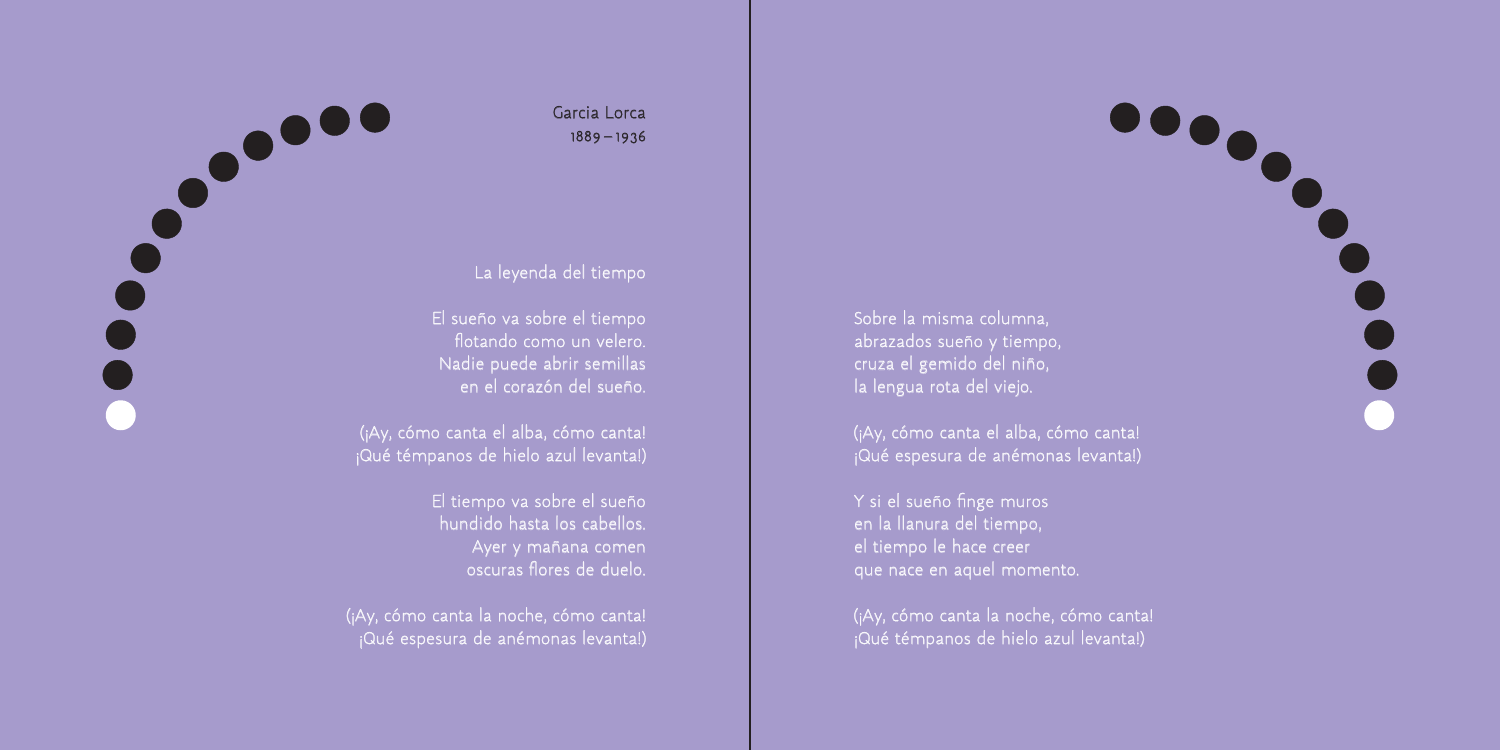# Garcia Lorca 1889 – 1936

# La leyenda del tiempo

El sueño va sobre el tiempo flotando como un velero. Nadie puede abrir semillas en el corazón del sueño.

(¡ Ay, cómo canta el alba, cómo canta! ¡ Qué témpanos de hielo azul levanta!)

> El tiempo va sobre el sueño hundido hasta los cabellos. Ayer y mañana comen oscuras flores de duelo.

(¡ Ay, cómo canta la noche, cómo canta! ¡ Qué espesura de anémonas levanta!) Sobre la misma columna, abrazados sueño y tiempo, cruza el gemido del niño, la lengua rota del viejo.

(¡ Ay, cómo canta el alba, cómo canta! ¡ Qué espesura de anémonas levanta!)

Y si el sueño finge muros en la llanura del tiempo, el tiempo le hace creer que nace en aquel momento.

(¡ Ay, cómo canta la noche, cómo canta! ¡ Qué témpanos de hielo azul levanta!)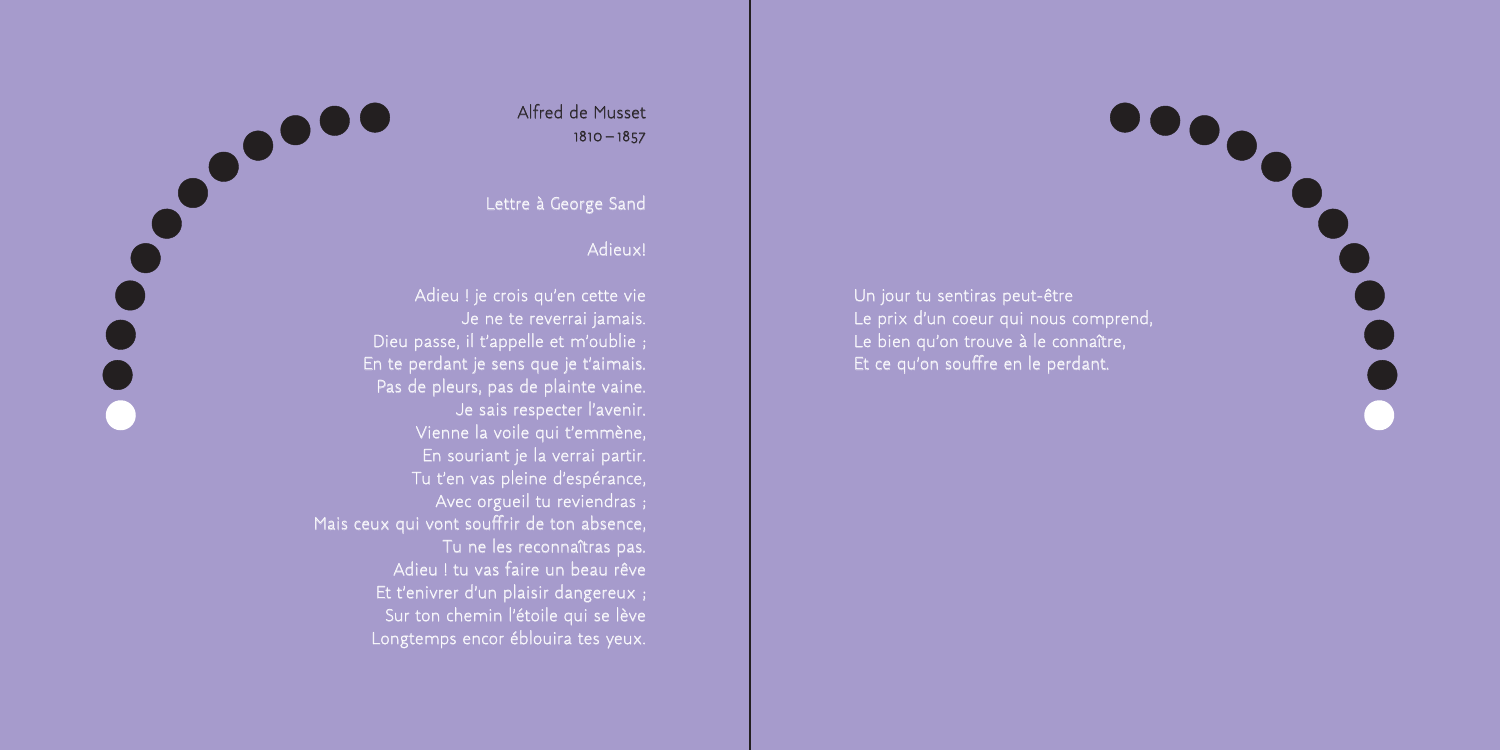

# Alfred de Musset 1810– 1857

Lettre à George Sand

# Adieux!

Adieu ! je crois qu'en cette vie Je ne te reverrai jamais. Dieu passe, il t'appelle et m'oublie ; En te perdant je sens que je t'aimais. Pas de pleurs, pas de plainte vaine. Je sais respecter l'avenir. Vienne la voile qui t'emmène, En souriant je la verrai partir. Tu t'en vas pleine d'espérance, Avec orgueil tu reviendras ; Mais ceux qui vont souffrir de ton absence, Tu ne les reconnaîtras pas. Adieu ! tu vas faire un beau rêve Et t'enivrer d'un plaisir dangereux ; <u>Sur ton chemin l'étoile qui se lève</u> Longtemps encor éblouira tes yeux. Un jour tu sentiras peut-être Le prix d'un coeur qui nous comprend, Le bien qu'on trouve à le connaître, Et ce qu'on souffre en le perdant.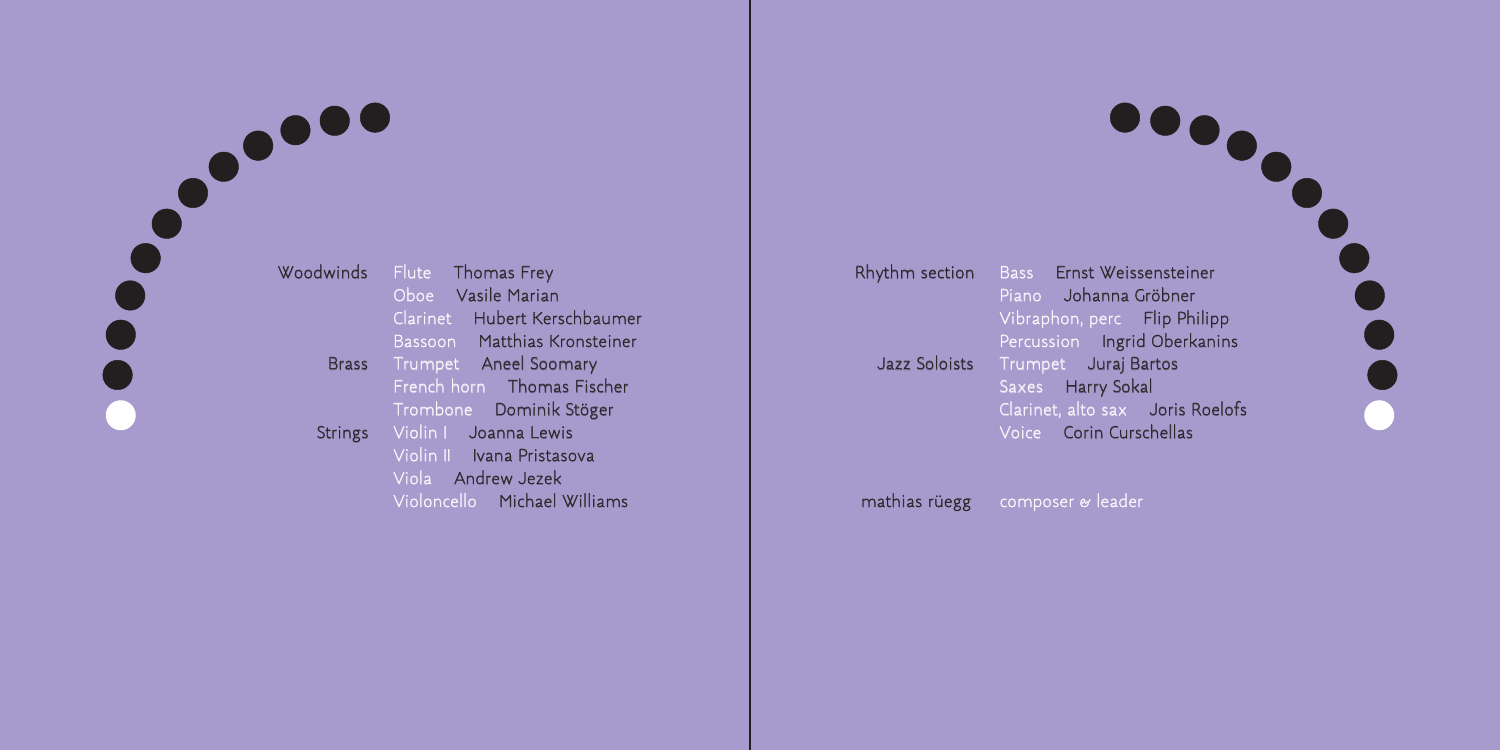......

Woodwinds Flute Thomas Frey Oboe Vasile Marian Clarinet Hubert Kerschbaumer Bassoon Matthias Kronsteiner Brass Trumpet Aneel Soomary French horn Thomas Fischer Trombone Dominik Stöger Strings Violin I Joanna Lewis Violin II Ivana Pristasova Viola Andrew Jezek Violoncello Michael Williams

 Rhythm section Bass Ernst Weissensteiner Piano Johanna Gröbner Vibraphon, perc Flip Philipp Percussion Ingrid Oberkanins Jazz Soloists Trumpet Juraj Bartos Saxes Harry Sokal Clarinet, alto sax Joris Roelofs Voice Corin Curschellas

mathias rüegg composer � leader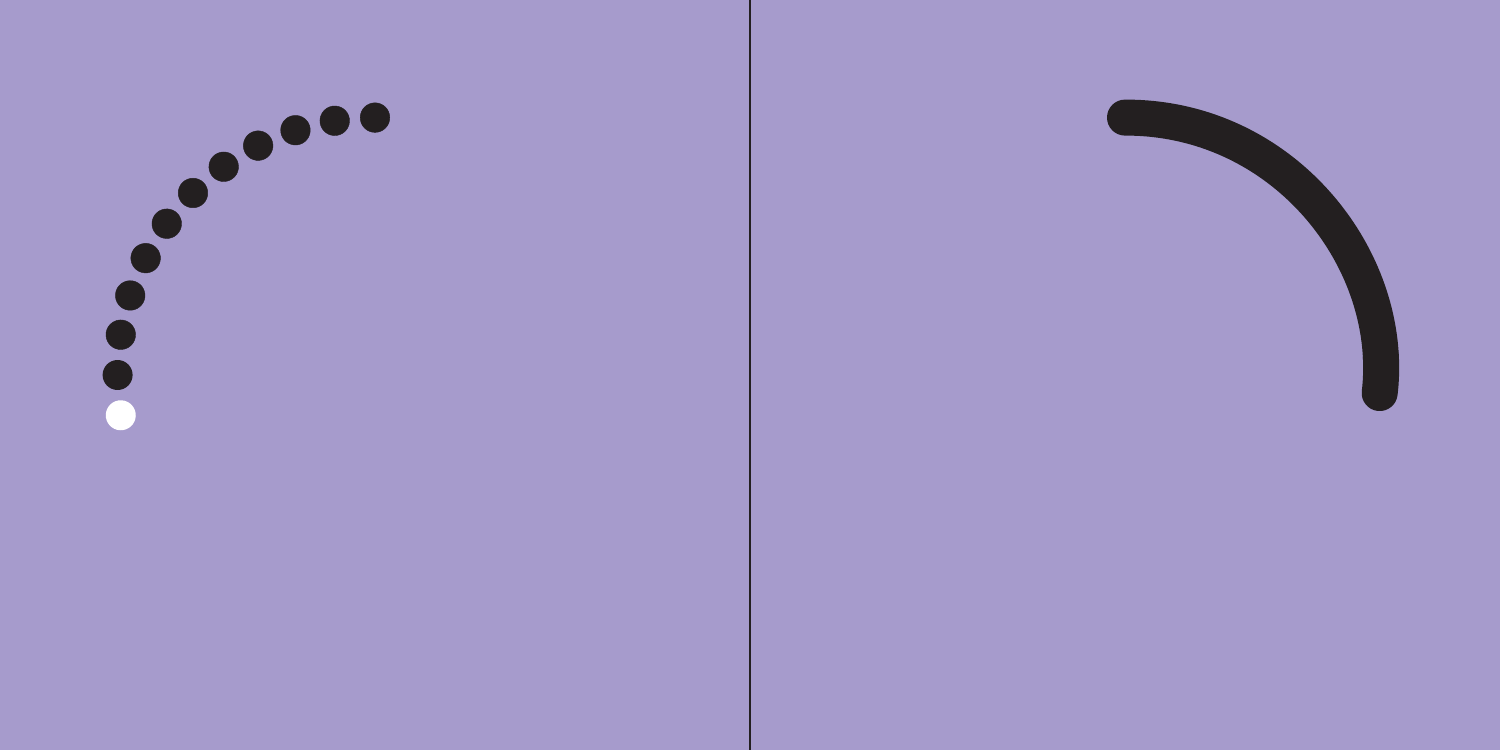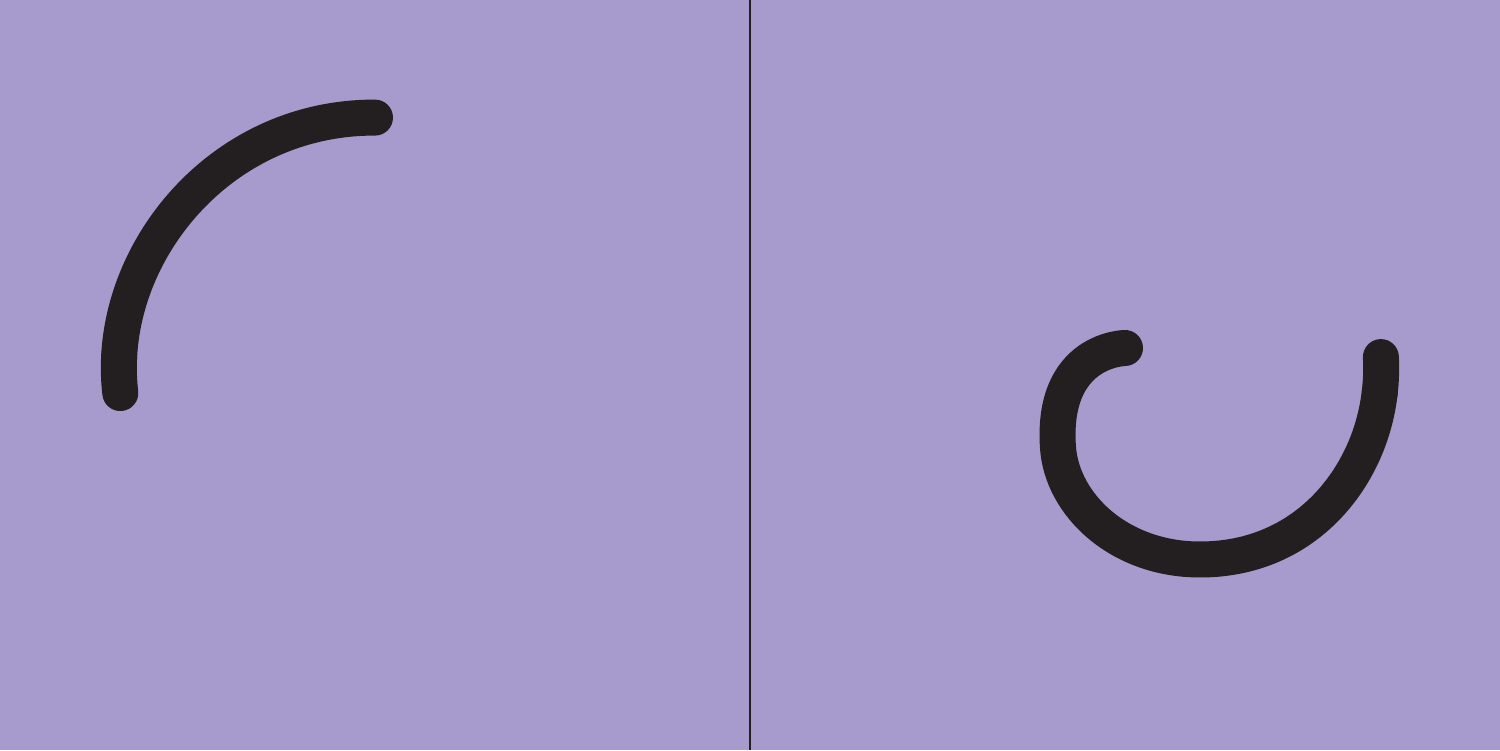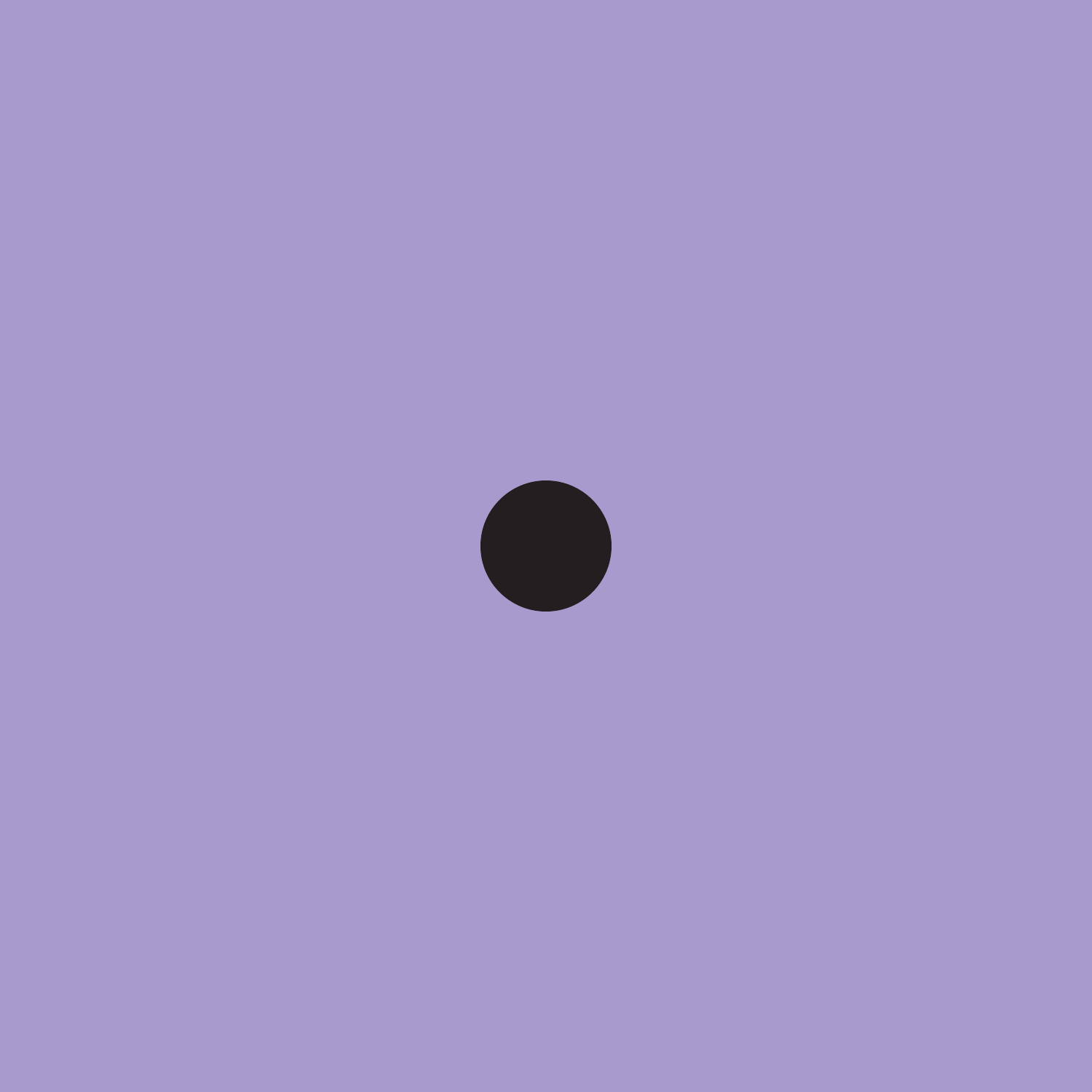